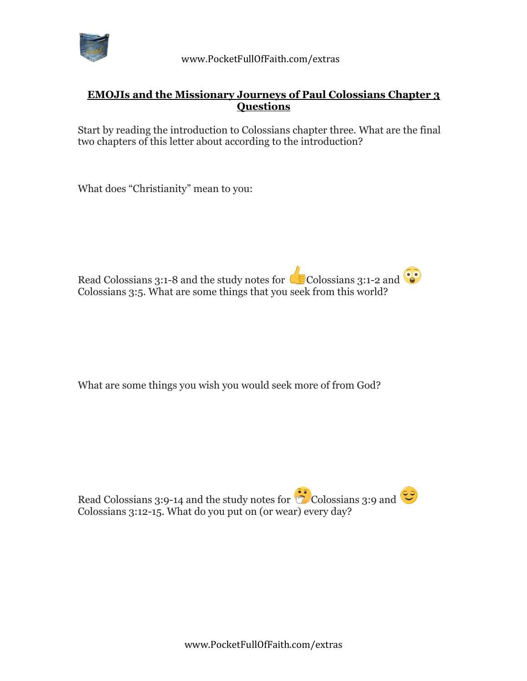

## **EMOJIs and the Missionary Journeys of Paul Colossians Chapter 3 Questions**

Start by reading the introduction to Colossians chapter three. What are the final two chapters of this letter about according to the introduction?

What does "Christianity" mean to you:



What are some things you wish you would seek more of from God?

Read Colossians 3:9-14 and the study notes for  $\ddot{\circ}$  Colossians 3:9 and  $\ddot{\circ}$ Colossians 3:12-15. What do you put on (or wear) every day?